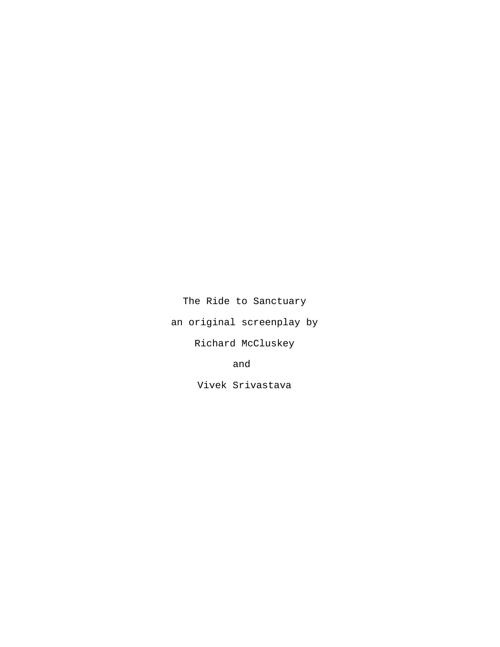The Ride to Sanctuary

an original screenplay by

Richard McCluskey

and

Vivek Srivastava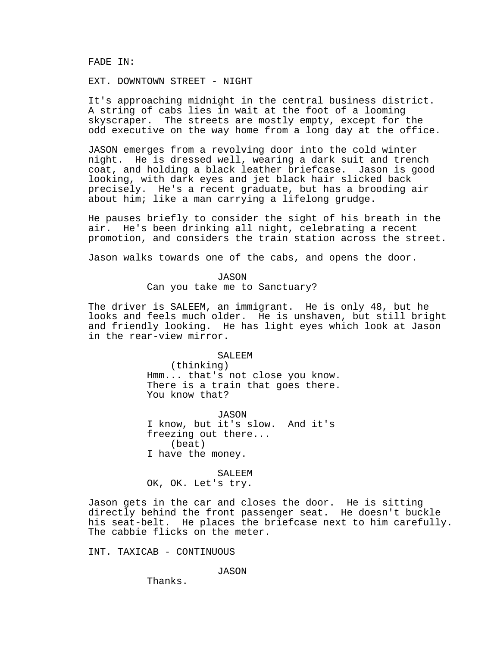FADE IN:

EXT. DOWNTOWN STREET - NIGHT

It's approaching midnight in the central business district. A string of cabs lies in wait at the foot of a looming skyscraper. The streets are mostly empty, except for the odd executive on the way home from a long day at the office.

JASON emerges from a revolving door into the cold winter night. He is dressed well, wearing a dark suit and trench coat, and holding a black leather briefcase. Jason is good looking, with dark eyes and jet black hair slicked back precisely. He's a recent graduate, but has a brooding air about him; like a man carrying a lifelong grudge.

He pauses briefly to consider the sight of his breath in the air. He's been drinking all night, celebrating a recent promotion, and considers the train station across the street.

Jason walks towards one of the cabs, and opens the door.

JASON Can you take me to Sanctuary?

The driver is SALEEM, an immigrant. He is only 48, but he looks and feels much older. He is unshaven, but still bright and friendly looking. He has light eyes which look at Jason in the rear-view mirror.

> SALEEM (thinking) Hmm... that's not close you know. There is a train that goes there. You know that?

JASON I know, but it's slow. And it's freezing out there... (beat) I have the money.

SALEEM OK, OK. Let's try.

Jason gets in the car and closes the door. He is sitting directly behind the front passenger seat. He doesn't buckle his seat-belt. He places the briefcase next to him carefully. The cabbie flicks on the meter.

INT. TAXICAB - CONTINUOUS

JASON

Thanks.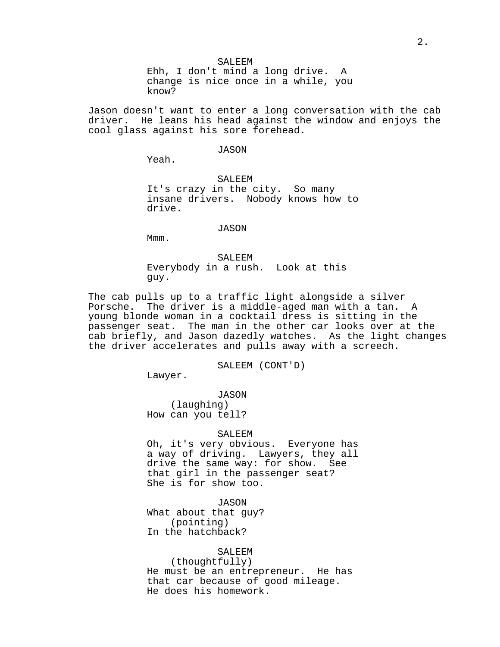SALEEM Ehh, I don't mind a long drive. A change is nice once in a while, you know?

Jason doesn't want to enter a long conversation with the cab driver. He leans his head against the window and enjoys the cool glass against his sore forehead.

## JASON

Yeah.

SALEEM It's crazy in the city. So many insane drivers. Nobody knows how to drive.

## JASON

Mmm.

SALEEM Everybody in a rush. Look at this guy.

The cab pulls up to a traffic light alongside a silver Porsche. The driver is a middle-aged man with a tan. A young blonde woman in a cocktail dress is sitting in the passenger seat. The man in the other car looks over at the cab briefly, and Jason dazedly watches. As the light changes the driver accelerates and pulls away with a screech.

SALEEM (CONT'D)

Lawyer.

JASON (laughing) How can you tell?

#### SALEEM

Oh, it's very obvious. Everyone has a way of driving. Lawyers, they all drive the same way: for show. See that girl in the passenger seat? She is for show too.

JASON What about that guy?

(pointing) In the hatchback?

### SALEEM

(thoughtfully) He must be an entrepreneur. He has that car because of good mileage. He does his homework.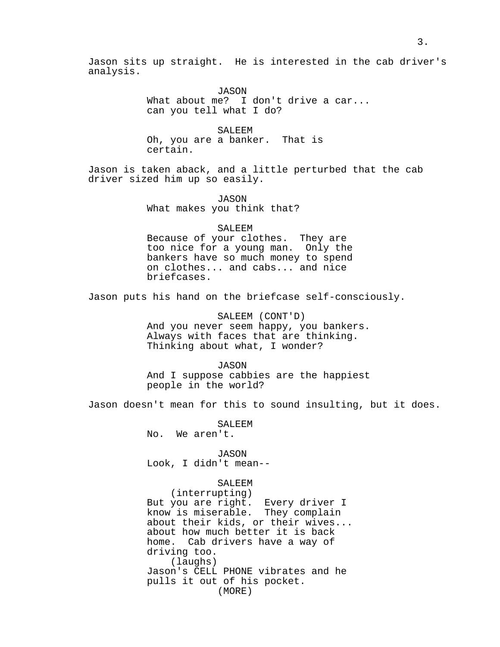Jason sits up straight. He is interested in the cab driver's analysis.

> JASON What about me? I don't drive a car... can you tell what I do?

SALEEM Oh, you are a banker. That is certain.

Jason is taken aback, and a little perturbed that the cab driver sized him up so easily.

> JASON What makes you think that?

## SALEEM

Because of your clothes. They are too nice for a young man. Only the bankers have so much money to spend on clothes... and cabs... and nice briefcases.

Jason puts his hand on the briefcase self-consciously.

SALEEM (CONT'D) And you never seem happy, you bankers. Always with faces that are thinking. Thinking about what, I wonder?

JASON And I suppose cabbies are the happiest people in the world?

Jason doesn't mean for this to sound insulting, but it does.

SALEEM No. We aren't.

JASON Look, I didn't mean--

# SALEEM

(interrupting) But you are right. Every driver I know is miserable. They complain about their kids, or their wives... about how much better it is back home. Cab drivers have a way of driving too. (laughs) Jason's CELL PHONE vibrates and he pulls it out of his pocket. (MORE)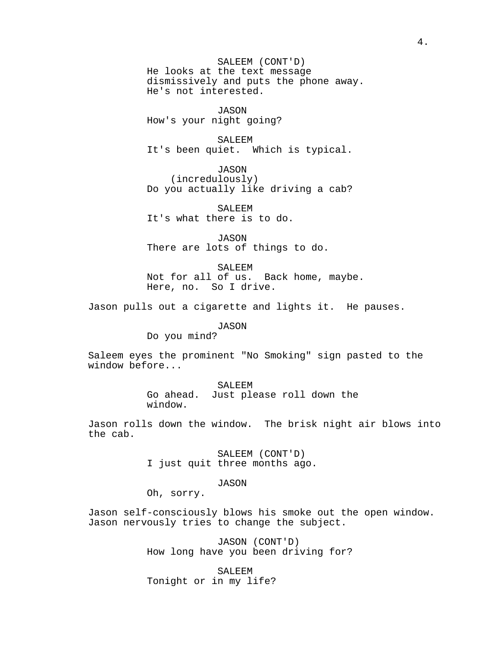SALEEM (CONT'D) He looks at the text message dismissively and puts the phone away. He's not interested.

JASON How's your night going?

SALEEM It's been quiet. Which is typical.

JASON (incredulously) Do you actually like driving a cab?

SALEEM It's what there is to do.

JASON There are lots of things to do.

SALEEM Not for all of us. Back home, maybe. Here, no. So I drive.

Jason pulls out a cigarette and lights it. He pauses.

JASON

Do you mind?

Saleem eyes the prominent "No Smoking" sign pasted to the window before...

> SALEEM Go ahead. Just please roll down the window.

Jason rolls down the window. The brisk night air blows into the cab.

> SALEEM (CONT'D) I just quit three months ago.

> > JASON

Oh, sorry.

Jason self-consciously blows his smoke out the open window. Jason nervously tries to change the subject.

> JASON (CONT'D) How long have you been driving for?

SALEEM Tonight or in my life?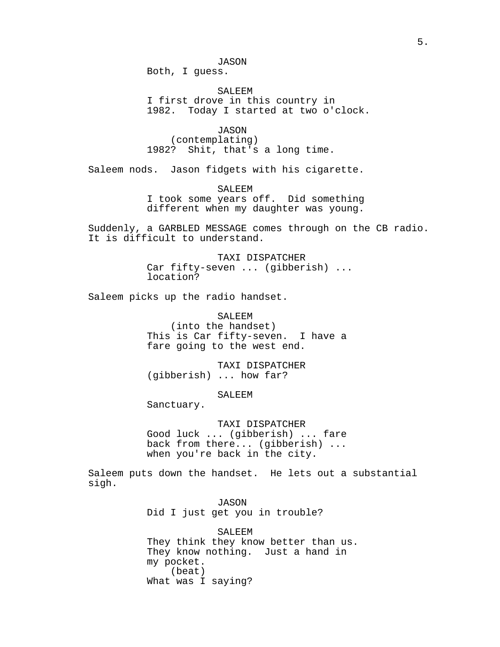Both, I guess.

SALEEM I first drove in this country in 1982. Today I started at two o'clock.

JASON (contemplating) 1982? Shit, that's a long time.

Saleem nods. Jason fidgets with his cigarette.

SALEEM I took some years off. Did something different when my daughter was young.

Suddenly, a GARBLED MESSAGE comes through on the CB radio. It is difficult to understand.

> TAXI DISPATCHER Car fifty-seven ... (gibberish) ... location?

Saleem picks up the radio handset.

SALEEM (into the handset) This is Car fifty-seven. I have a fare going to the west end.

TAXI DISPATCHER (gibberish) ... how far?

SALEEM

Sanctuary.

TAXI DISPATCHER Good luck ... (gibberish) ... fare back from there... (gibberish) ... when you're back in the city.

Saleem puts down the handset. He lets out a substantial sigh.

> JASON Did I just get you in trouble?

SALEEM They think they know better than us. They know nothing. Just a hand in my pocket. (beat) What was I saying?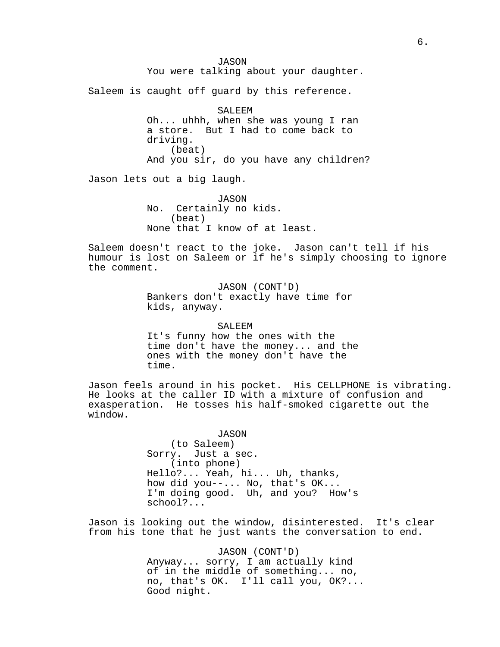JASON You were talking about your daughter. Saleem is caught off guard by this reference. SALEEM Oh... uhhh, when she was young I ran a store. But I had to come back to driving. (beat) And you sir, do you have any children? Jason lets out a big laugh. JASON No. Certainly no kids. (beat) None that I know of at least. Saleem doesn't react to the joke. Jason can't tell if his humour is lost on Saleem or if he's simply choosing to ignore the comment. JASON (CONT'D) Bankers don't exactly have time for kids, anyway. SALEEM It's funny how the ones with the time don't have the money... and the ones with the money don't have the time. Jason feels around in his pocket. His CELLPHONE is vibrating. He looks at the caller ID with a mixture of confusion and exasperation. He tosses his half-smoked cigarette out the window. JASON (to Saleem) Sorry. Just a sec. (into phone) Hello?... Yeah, hi... Uh, thanks, how did you--... No, that's OK... I'm doing good. Uh, and you? How's school?... Jason is looking out the window, disinterested. It's clear from his tone that he just wants the conversation to end. JASON (CONT'D)

Anyway... sorry, I am actually kind of in the middle of something... no, no, that's OK. I'll call you, OK?... Good night.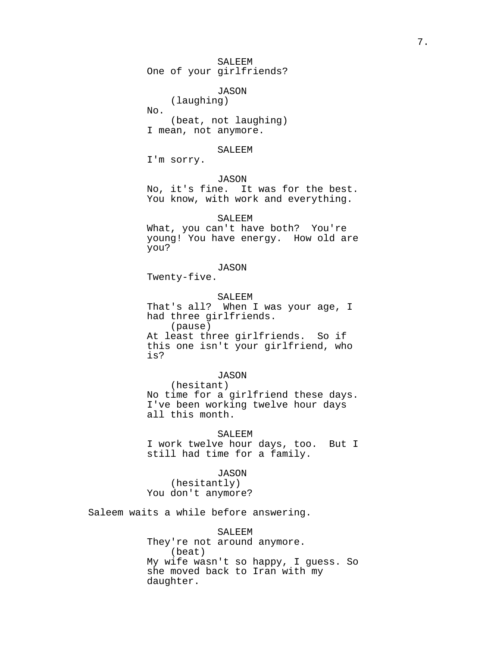SALEEM One of your girlfriends?

JASON

(laughing) No. (beat, not laughing) I mean, not anymore.

SALEEM

I'm sorry.

JASON

No, it's fine. It was for the best. You know, with work and everything.

SALEEM

What, you can't have both? You're young! You have energy. How old are you?

# JASON

Twenty-five.

SALEEM

That's all? When I was your age, I had three girlfriends. (pause) At least three girlfriends. So if this one isn't your girlfriend, who is?

JASON

(hesitant) No time for a girlfriend these days. I've been working twelve hour days all this month.

SALEEM I work twelve hour days, too. But I still had time for a family.

JASON (hesitantly) You don't anymore?

Saleem waits a while before answering.

SALEEM They're not around anymore. (beat) My wife wasn't so happy, I guess. So she moved back to Iran with my daughter.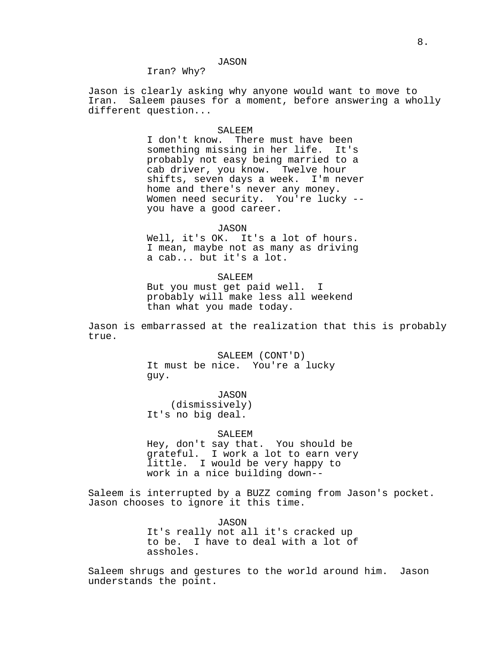## JASON

Iran? Why?

Jason is clearly asking why anyone would want to move to Iran. Saleem pauses for a moment, before answering a wholly different question...

### SALEEM

I don't know. There must have been something missing in her life. It's probably not easy being married to a cab driver, you know. Twelve hour shifts, seven days a week. I'm never home and there's never any money. Women need security. You're lucky - you have a good career.

### JASON

Well, it's OK. It's a lot of hours. I mean, maybe not as many as driving a cab... but it's a lot.

### SALEEM

But you must get paid well. I probably will make less all weekend than what you made today.

Jason is embarrassed at the realization that this is probably true.

> SALEEM (CONT'D) It must be nice. You're a lucky guy.

JASON (dismissively) It's no big deal.

#### SALEEM

Hey, don't say that. You should be grateful. I work a lot to earn very little. I would be very happy to work in a nice building down--

Saleem is interrupted by a BUZZ coming from Jason's pocket. Jason chooses to ignore it this time.

JASON

It's really not all it's cracked up to be. I have to deal with a lot of assholes.

Saleem shrugs and gestures to the world around him. Jason understands the point.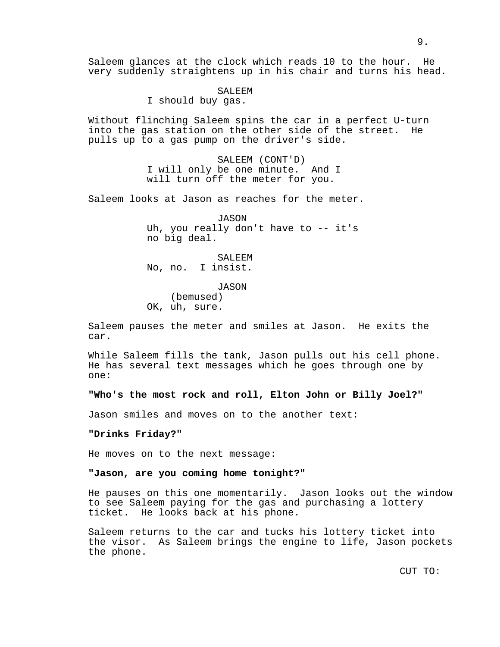Saleem glances at the clock which reads 10 to the hour. He very suddenly straightens up in his chair and turns his head.

SALEEM

I should buy gas.

Without flinching Saleem spins the car in a perfect U-turn into the gas station on the other side of the street. He pulls up to a gas pump on the driver's side.

> SALEEM (CONT'D) I will only be one minute. And I will turn off the meter for you.

Saleem looks at Jason as reaches for the meter.

JASON Uh, you really don't have to -- it's no big deal.

SALEEM No, no. I insist.

JASON (bemused) OK, uh, sure.

Saleem pauses the meter and smiles at Jason. He exits the car.

While Saleem fills the tank, Jason pulls out his cell phone. He has several text messages which he goes through one by one:

**"Who's the most rock and roll, Elton John or Billy Joel?"**

Jason smiles and moves on to the another text:

### **"Drinks Friday?"**

He moves on to the next message:

## **"Jason, are you coming home tonight?"**

He pauses on this one momentarily. Jason looks out the window to see Saleem paying for the gas and purchasing a lottery ticket. He looks back at his phone.

Saleem returns to the car and tucks his lottery ticket into the visor. As Saleem brings the engine to life, Jason pockets the phone.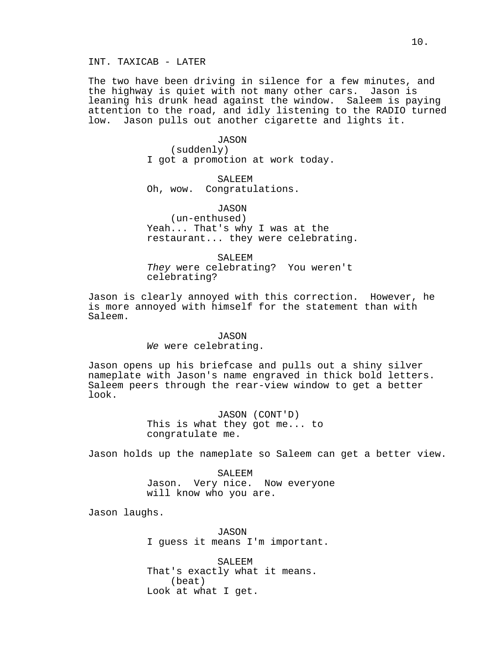The two have been driving in silence for a few minutes, and the highway is quiet with not many other cars. Jason is leaning his drunk head against the window. Saleem is paying attention to the road, and idly listening to the RADIO turned low. Jason pulls out another cigarette and lights it.

> JASON (suddenly) I got a promotion at work today.

SALEEM Oh, wow. Congratulations.

JASON (un-enthused) Yeah... That's why I was at the restaurant... they were celebrating.

SALEEM They were celebrating? You weren't celebrating?

Jason is clearly annoyed with this correction. However, he is more annoyed with himself for the statement than with Saleem.

### JASON

We were celebrating.

Jason opens up his briefcase and pulls out a shiny silver nameplate with Jason's name engraved in thick bold letters. Saleem peers through the rear-view window to get a better look.

> JASON (CONT'D) This is what they got me... to congratulate me.

Jason holds up the nameplate so Saleem can get a better view.

SALEEM Jason. Very nice. Now everyone will know who you are.

Jason laughs.

JASON I guess it means I'm important.

SALEEM That's exactly what it means. (beat) Look at what I get.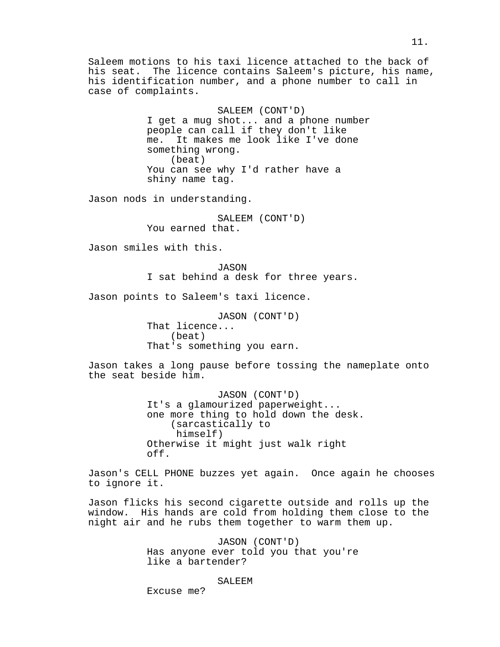Saleem motions to his taxi licence attached to the back of his seat. The licence contains Saleem's picture, his name, his identification number, and a phone number to call in case of complaints.

> SALEEM (CONT'D) I get a mug shot... and a phone number people can call if they don't like me. It makes me look like I've done something wrong. (beat) You can see why I'd rather have a shiny name tag.

Jason nods in understanding.

SALEEM (CONT'D) You earned that.

Jason smiles with this.

JASON I sat behind a desk for three years.

Jason points to Saleem's taxi licence.

JASON (CONT'D) That licence... (beat) That's something you earn.

Jason takes a long pause before tossing the nameplate onto the seat beside him.

> JASON (CONT'D) It's a glamourized paperweight... one more thing to hold down the desk. (sarcastically to himself) Otherwise it might just walk right off.

Jason's CELL PHONE buzzes yet again. Once again he chooses to ignore it.

Jason flicks his second cigarette outside and rolls up the window. His hands are cold from holding them close to the night air and he rubs them together to warm them up.

> JASON (CONT'D) Has anyone ever told you that you're like a bartender?

> > SALEEM

11.

Excuse me?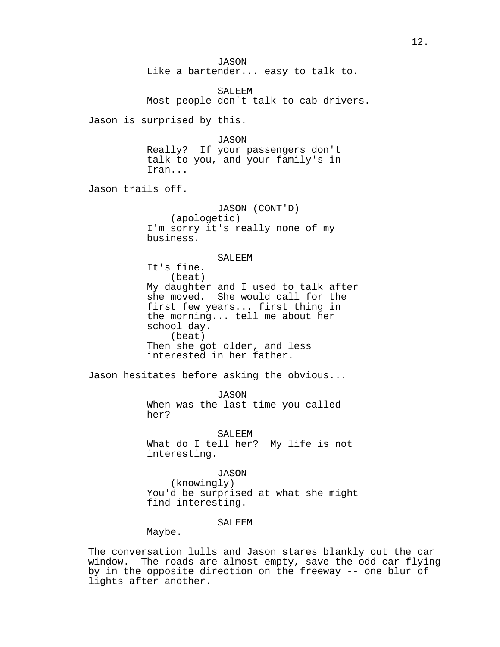JASON Like a bartender... easy to talk to. SALEEM Most people don't talk to cab drivers. Jason is surprised by this. JASON Really? If your passengers don't talk to you, and your family's in Iran... Jason trails off. JASON (CONT'D) (apologetic) I'm sorry it's really none of my business. SALEEM It's fine. (beat) My daughter and I used to talk after she moved. She would call for the first few years... first thing in the morning... tell me about her school day. (beat) Then she got older, and less interested in her father. Jason hesitates before asking the obvious... JASON When was the last time you called her? SALEEM What do I tell her? My life is not interesting. JASON (knowingly) You'd be surprised at what she might find interesting. SALEEM Maybe.

The conversation lulls and Jason stares blankly out the car window. The roads are almost empty, save the odd car flying by in the opposite direction on the freeway -- one blur of lights after another.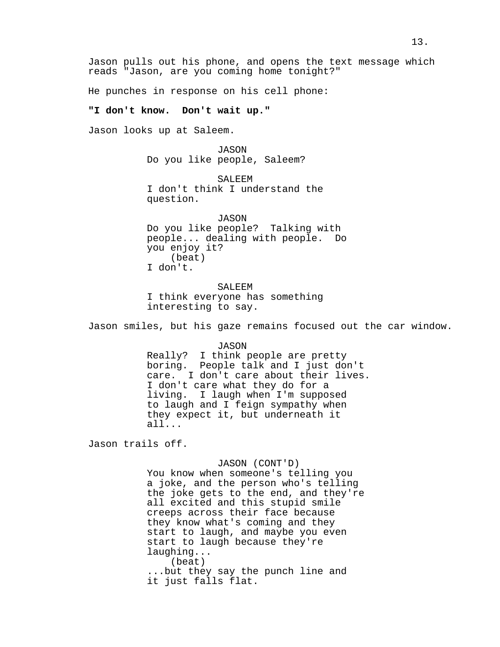Jason pulls out his phone, and opens the text message which reads "Jason, are you coming home tonight?"

He punches in response on his cell phone:

## **"I don't know. Don't wait up."**

Jason looks up at Saleem.

JASON Do you like people, Saleem?

SALEEM I don't think I understand the question.

JASON Do you like people? Talking with people... dealing with people. Do you enjoy it? (beat) I don't.

SALEEM I think everyone has something interesting to say.

Jason smiles, but his gaze remains focused out the car window.

JASON

Really? I think people are pretty boring. People talk and I just don't care. I don't care about their lives. I don't care what they do for a living. I laugh when I'm supposed to laugh and I feign sympathy when they expect it, but underneath it all...

Jason trails off.

## JASON (CONT'D)

You know when someone's telling you a joke, and the person who's telling the joke gets to the end, and they're all excited and this stupid smile creeps across their face because they know what's coming and they start to laugh, and maybe you even start to laugh because they're laughing... (beat) ...but they say the punch line and it just falls flat.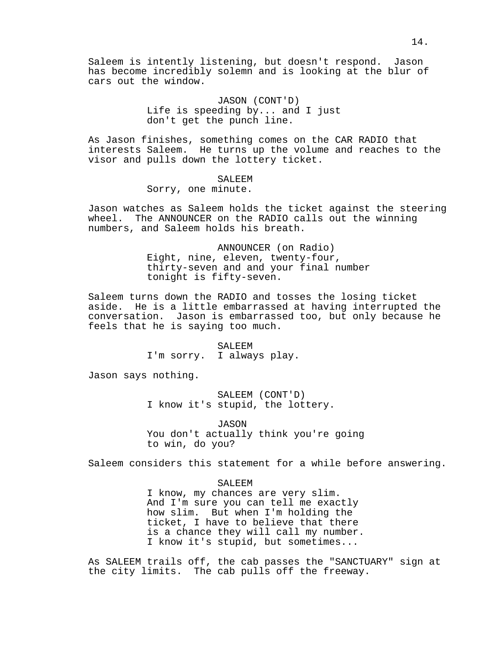Saleem is intently listening, but doesn't respond. Jason has become incredibly solemn and is looking at the blur of cars out the window.

> JASON (CONT'D) Life is speeding by... and I just don't get the punch line.

As Jason finishes, something comes on the CAR RADIO that interests Saleem. He turns up the volume and reaches to the visor and pulls down the lottery ticket.

# SALEEM

Sorry, one minute.

Jason watches as Saleem holds the ticket against the steering wheel. The ANNOUNCER on the RADIO calls out the winning numbers, and Saleem holds his breath.

> ANNOUNCER (on Radio) Eight, nine, eleven, twenty-four, thirty-seven and and your final number tonight is fifty-seven.

Saleem turns down the RADIO and tosses the losing ticket aside. He is a little embarrassed at having interrupted the conversation. Jason is embarrassed too, but only because he feels that he is saying too much.

> SALEEM I'm sorry. I always play.

Jason says nothing.

SALEEM (CONT'D) I know it's stupid, the lottery.

JASON You don't actually think you're going to win, do you?

Saleem considers this statement for a while before answering.

## SALEEM

I know, my chances are very slim. And I'm sure you can tell me exactly how slim. But when I'm holding the ticket, I have to believe that there is a chance they will call my number. I know it's stupid, but sometimes...

As SALEEM trails off, the cab passes the "SANCTUARY" sign at the city limits. The cab pulls off the freeway.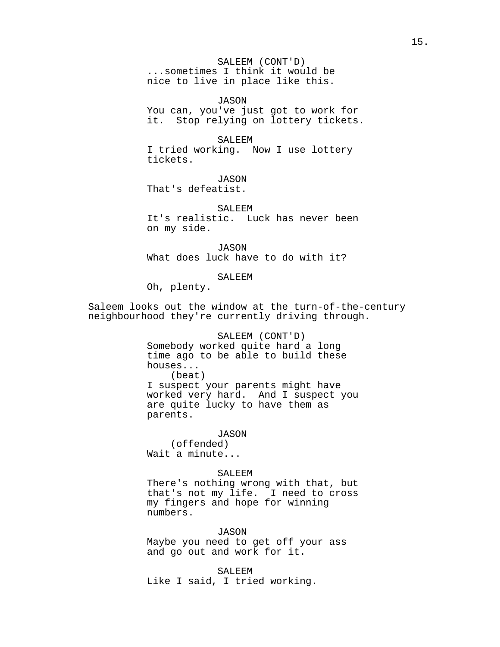SALEEM (CONT'D) ...sometimes I think it would be nice to live in place like this.

JASON You can, you've just got to work for it. Stop relying on lottery tickets.

SALEEM I tried working. Now I use lottery tickets.

JASON That's defeatist.

SALEEM It's realistic. Luck has never been on my side.

JASON What does luck have to do with it?

SALEEM

Oh, plenty.

Saleem looks out the window at the turn-of-the-century neighbourhood they're currently driving through.

# SALEEM (CONT'D)

Somebody worked quite hard a long time ago to be able to build these houses... (beat) I suspect your parents might have worked very hard. And I suspect you are quite lucky to have them as parents.

## JASON

(offended) Wait a minute...

# SALEEM

There's nothing wrong with that, but that's not my life. I need to cross my fingers and hope for winning numbers.

## JASON

Maybe you need to get off your ass and go out and work for it.

SALEEM Like I said, I tried working.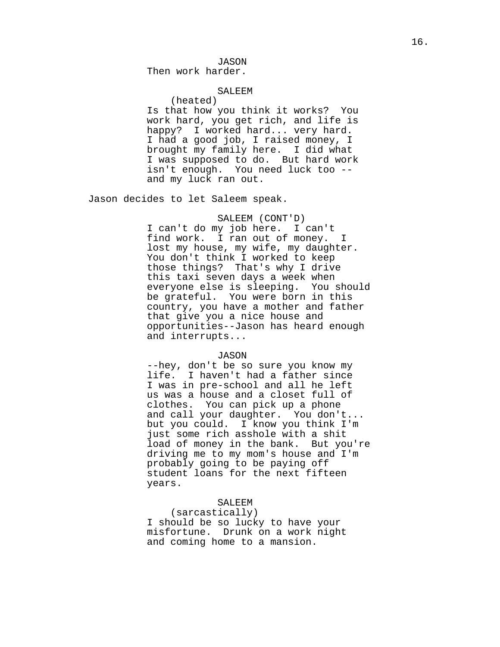JASON

Then work harder.

# SALEEM

(heated) Is that how you think it works? You work hard, you get rich, and life is happy? I worked hard... very hard. I had a good job, I raised money, I brought my family here. I did what I was supposed to do. But hard work isn't enough. You need luck too - and my luck ran out.

Jason decides to let Saleem speak.

# SALEEM (CONT'D)

I can't do my job here. I can't find work. I ran out of money. I lost my house, my wife, my daughter. You don't think I worked to keep those things? That's why I drive this taxi seven days a week when everyone else is sleeping. You should be grateful. You were born in this country, you have a mother and father that give you a nice house and opportunities--Jason has heard enough and interrupts...

## JASON

--hey, don't be so sure you know my life. I haven't had a father since I was in pre-school and all he left us was a house and a closet full of clothes. You can pick up a phone and call your daughter. You don't... but you could. I know you think I'm just some rich asshole with a shit load of money in the bank. But you're driving me to my mom's house and I'm probably going to be paying off student loans for the next fifteen years.

# SALEEM

(sarcastically) I should be so lucky to have your misfortune. Drunk on a work night and coming home to a mansion.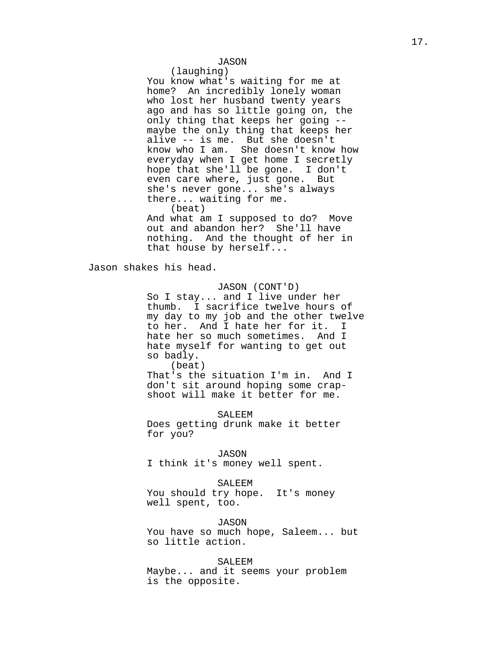# JASON

(laughing)

You know what's waiting for me at home? An incredibly lonely woman who lost her husband twenty years ago and has so little going on, the only thing that keeps her going - maybe the only thing that keeps her alive -- is me. But she doesn't know who I am. She doesn't know how everyday when I get home I secretly hope that she'll be gone. I don't even care where, just gone. But she's never gone... she's always there... waiting for me. (beat) And what am I supposed to do? Move

out and abandon her? She'll have nothing. And the thought of her in that house by herself...

Jason shakes his head.

# JASON (CONT'D)

So I stay... and I live under her thumb. I sacrifice twelve hours of my day to my job and the other twelve to her. And I hate her for it. I hate her so much sometimes. And I hate myself for wanting to get out so badly.

(beat)

That's the situation I'm in. And I don't sit around hoping some crapshoot will make it better for me.

SALEEM

Does getting drunk make it better for you?

JASON I think it's money well spent.

#### SALEEM

You should try hope. It's money well spent, too.

JASON

You have so much hope, Saleem... but so little action.

## SALEEM

Maybe... and it seems your problem is the opposite.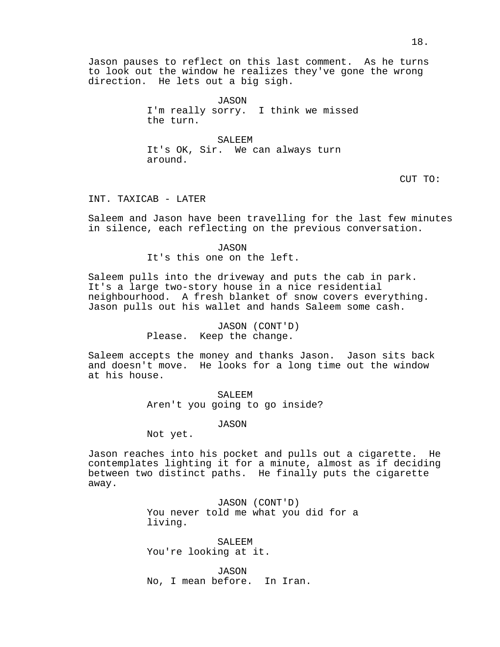JASON I'm really sorry. I think we missed the turn.

SALEEM It's OK, Sir. We can always turn around.

CUT TO:

INT. TAXICAB - LATER

Saleem and Jason have been travelling for the last few minutes in silence, each reflecting on the previous conversation.

> JASON It's this one on the left.

Saleem pulls into the driveway and puts the cab in park. It's a large two-story house in a nice residential neighbourhood. A fresh blanket of snow covers everything. Jason pulls out his wallet and hands Saleem some cash.

> JASON (CONT'D) Please. Keep the change.

Saleem accepts the money and thanks Jason. Jason sits back and doesn't move. He looks for a long time out the window at his house.

> SALEEM Aren't you going to go inside?

> > JASON

Not yet.

Jason reaches into his pocket and pulls out a cigarette. He contemplates lighting it for a minute, almost as if deciding between two distinct paths. He finally puts the cigarette away.

> JASON (CONT'D) You never told me what you did for a living.

SALEEM You're looking at it.

JASON No, I mean before. In Iran.